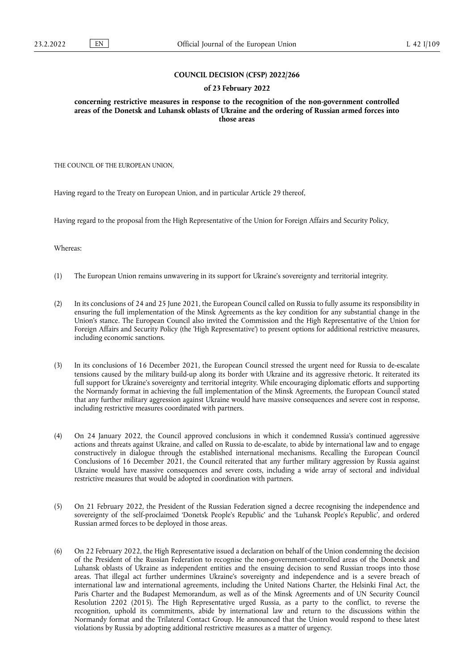#### **COUNCIL DECISION (CFSP) 2022/266**

#### **of 23 February 2022**

**concerning restrictive measures in response to the recognition of the non-government controlled areas of the Donetsk and Luhansk oblasts of Ukraine and the ordering of Russian armed forces into those areas** 

THE COUNCIL OF THE EUROPEAN UNION,

Having regard to the Treaty on European Union, and in particular Article 29 thereof,

Having regard to the proposal from the High Representative of the Union for Foreign Affairs and Security Policy,

Whereas:

- (1) The European Union remains unwavering in its support for Ukraine's sovereignty and territorial integrity.
- (2) In its conclusions of 24 and 25 June 2021, the European Council called on Russia to fully assume its responsibility in ensuring the full implementation of the Minsk Agreements as the key condition for any substantial change in the Union's stance. The European Council also invited the Commission and the High Representative of the Union for Foreign Affairs and Security Policy (the 'High Representative') to present options for additional restrictive measures, including economic sanctions.
- (3) In its conclusions of 16 December 2021, the European Council stressed the urgent need for Russia to de-escalate tensions caused by the military build-up along its border with Ukraine and its aggressive rhetoric. It reiterated its full support for Ukraine's sovereignty and territorial integrity. While encouraging diplomatic efforts and supporting the Normandy format in achieving the full implementation of the Minsk Agreements, the European Council stated that any further military aggression against Ukraine would have massive consequences and severe cost in response, including restrictive measures coordinated with partners.
- (4) On 24 January 2022, the Council approved conclusions in which it condemned Russia's continued aggressive actions and threats against Ukraine, and called on Russia to de-escalate, to abide by international law and to engage constructively in dialogue through the established international mechanisms. Recalling the European Council Conclusions of 16 December 2021, the Council reiterated that any further military aggression by Russia against Ukraine would have massive consequences and severe costs, including a wide array of sectoral and individual restrictive measures that would be adopted in coordination with partners.
- (5) On 21 February 2022, the President of the Russian Federation signed a decree recognising the independence and sovereignty of the self-proclaimed 'Donetsk People's Republic' and the 'Luhansk People's Republic', and ordered Russian armed forces to be deployed in those areas.
- (6) On 22 February 2022, the High Representative issued a declaration on behalf of the Union condemning the decision of the President of the Russian Federation to recognise the non-government-controlled areas of the Donetsk and Luhansk oblasts of Ukraine as independent entities and the ensuing decision to send Russian troops into those areas. That illegal act further undermines Ukraine's sovereignty and independence and is a severe breach of international law and international agreements, including the United Nations Charter, the Helsinki Final Act, the Paris Charter and the Budapest Memorandum, as well as of the Minsk Agreements and of UN Security Council Resolution 2202 (2015). The High Representative urged Russia, as a party to the conflict, to reverse the recognition, uphold its commitments, abide by international law and return to the discussions within the Normandy format and the Trilateral Contact Group. He announced that the Union would respond to these latest violations by Russia by adopting additional restrictive measures as a matter of urgency.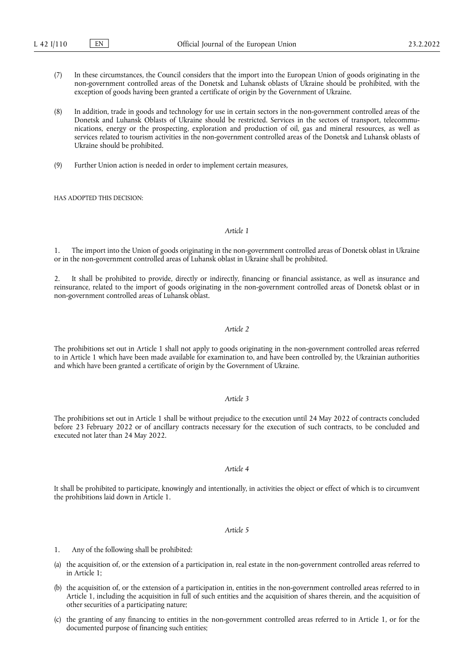- (7) In these circumstances, the Council considers that the import into the European Union of goods originating in the non-government controlled areas of the Donetsk and Luhansk oblasts of Ukraine should be prohibited, with the exception of goods having been granted a certificate of origin by the Government of Ukraine.
- (8) In addition, trade in goods and technology for use in certain sectors in the non-government controlled areas of the Donetsk and Luhansk Oblasts of Ukraine should be restricted. Services in the sectors of transport, telecommunications, energy or the prospecting, exploration and production of oil, gas and mineral resources, as well as services related to tourism activities in the non-government controlled areas of the Donetsk and Luhansk oblasts of Ukraine should be prohibited.
- (9) Further Union action is needed in order to implement certain measures,

HAS ADOPTED THIS DECISION:

## *Article 1*

1. The import into the Union of goods originating in the non-government controlled areas of Donetsk oblast in Ukraine or in the non-government controlled areas of Luhansk oblast in Ukraine shall be prohibited.

2. It shall be prohibited to provide, directly or indirectly, financing or financial assistance, as well as insurance and reinsurance, related to the import of goods originating in the non-government controlled areas of Donetsk oblast or in non-government controlled areas of Luhansk oblast.

## *Article 2*

The prohibitions set out in Article 1 shall not apply to goods originating in the non-government controlled areas referred to in Article 1 which have been made available for examination to, and have been controlled by, the Ukrainian authorities and which have been granted a certificate of origin by the Government of Ukraine.

## *Article 3*

The prohibitions set out in Article 1 shall be without prejudice to the execution until 24 May 2022 of contracts concluded before 23 February 2022 or of ancillary contracts necessary for the execution of such contracts, to be concluded and executed not later than 24 May 2022.

#### *Article 4*

It shall be prohibited to participate, knowingly and intentionally, in activities the object or effect of which is to circumvent the prohibitions laid down in Article 1.

#### *Article 5*

- 1. Any of the following shall be prohibited:
- (a) the acquisition of, or the extension of a participation in, real estate in the non-government controlled areas referred to in Article 1;
- (b) the acquisition of, or the extension of a participation in, entities in the non-government controlled areas referred to in Article 1, including the acquisition in full of such entities and the acquisition of shares therein, and the acquisition of other securities of a participating nature;
- (c) the granting of any financing to entities in the non-government controlled areas referred to in Article 1, or for the documented purpose of financing such entities;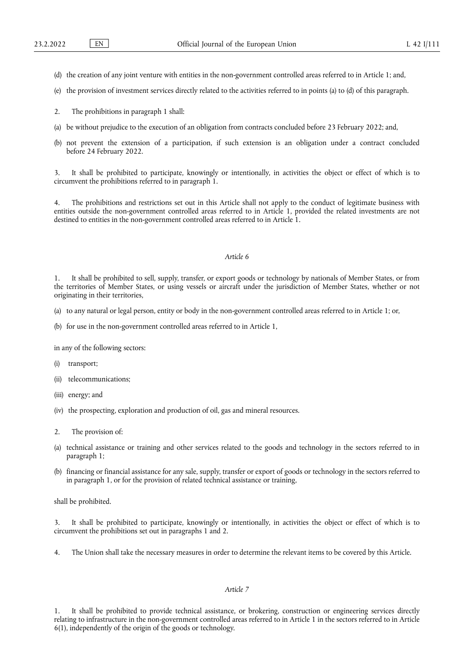- (d) the creation of any joint venture with entities in the non-government controlled areas referred to in Article 1; and,
- (e) the provision of investment services directly related to the activities referred to in points (a) to (d) of this paragraph.
- 2. The prohibitions in paragraph 1 shall:
- (a) be without prejudice to the execution of an obligation from contracts concluded before 23 February 2022; and,
- (b) not prevent the extension of a participation, if such extension is an obligation under a contract concluded before 24 February 2022.

It shall be prohibited to participate, knowingly or intentionally, in activities the object or effect of which is to circumvent the prohibitions referred to in paragraph 1.

4. The prohibitions and restrictions set out in this Article shall not apply to the conduct of legitimate business with entities outside the non-government controlled areas referred to in Article 1, provided the related investments are not destined to entities in the non-government controlled areas referred to in Article 1.

## *Article 6*

1. It shall be prohibited to sell, supply, transfer, or export goods or technology by nationals of Member States, or from the territories of Member States, or using vessels or aircraft under the jurisdiction of Member States, whether or not originating in their territories,

- (a) to any natural or legal person, entity or body in the non-government controlled areas referred to in Article 1; or,
- (b) for use in the non-government controlled areas referred to in Article 1,

in any of the following sectors:

- (i) transport;
- (ii) telecommunications;
- (iii) energy; and
- (iv) the prospecting, exploration and production of oil, gas and mineral resources.
- 2. The provision of:
- (a) technical assistance or training and other services related to the goods and technology in the sectors referred to in paragraph 1;
- (b) financing or financial assistance for any sale, supply, transfer or export of goods or technology in the sectors referred to in paragraph 1, or for the provision of related technical assistance or training,

shall be prohibited.

3. It shall be prohibited to participate, knowingly or intentionally, in activities the object or effect of which is to circumvent the prohibitions set out in paragraphs 1 and 2.

4. The Union shall take the necessary measures in order to determine the relevant items to be covered by this Article.

# *Article 7*

It shall be prohibited to provide technical assistance, or brokering, construction or engineering services directly relating to infrastructure in the non-government controlled areas referred to in Article 1 in the sectors referred to in Article 6(1), independently of the origin of the goods or technology.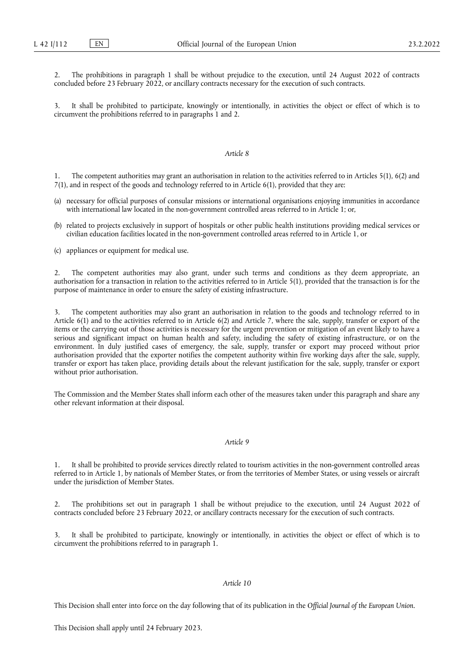2. The prohibitions in paragraph 1 shall be without prejudice to the execution, until 24 August 2022 of contracts concluded before 23 February 2022, or ancillary contracts necessary for the execution of such contracts.

It shall be prohibited to participate, knowingly or intentionally, in activities the object or effect of which is to circumvent the prohibitions referred to in paragraphs 1 and 2.

#### *Article 8*

1. The competent authorities may grant an authorisation in relation to the activities referred to in Articles 5(1), 6(2) and 7(1), and in respect of the goods and technology referred to in Article 6(1), provided that they are:

- (a) necessary for official purposes of consular missions or international organisations enjoying immunities in accordance with international law located in the non-government controlled areas referred to in Article 1; or,
- (b) related to projects exclusively in support of hospitals or other public health institutions providing medical services or civilian education facilities located in the non-government controlled areas referred to in Article 1, or

(c) appliances or equipment for medical use.

2. The competent authorities may also grant, under such terms and conditions as they deem appropriate, an authorisation for a transaction in relation to the activities referred to in Article 5(1), provided that the transaction is for the purpose of maintenance in order to ensure the safety of existing infrastructure.

3. The competent authorities may also grant an authorisation in relation to the goods and technology referred to in Article 6(1) and to the activities referred to in Article 6(2) and Article 7, where the sale, supply, transfer or export of the items or the carrying out of those activities is necessary for the urgent prevention or mitigation of an event likely to have a serious and significant impact on human health and safety, including the safety of existing infrastructure, or on the environment. In duly justified cases of emergency, the sale, supply, transfer or export may proceed without prior authorisation provided that the exporter notifies the competent authority within five working days after the sale, supply, transfer or export has taken place, providing details about the relevant justification for the sale, supply, transfer or export without prior authorisation.

The Commission and the Member States shall inform each other of the measures taken under this paragraph and share any other relevant information at their disposal.

## *Article 9*

1. It shall be prohibited to provide services directly related to tourism activities in the non-government controlled areas referred to in Article 1, by nationals of Member States, or from the territories of Member States, or using vessels or aircraft under the jurisdiction of Member States.

2. The prohibitions set out in paragraph 1 shall be without prejudice to the execution, until 24 August 2022 of contracts concluded before 23 February 2022, or ancillary contracts necessary for the execution of such contracts.

It shall be prohibited to participate, knowingly or intentionally, in activities the object or effect of which is to circumvent the prohibitions referred to in paragraph 1.

### *Article 10*

This Decision shall enter into force on the day following that of its publication in the *Official Journal of the European Union*.

This Decision shall apply until 24 February 2023.